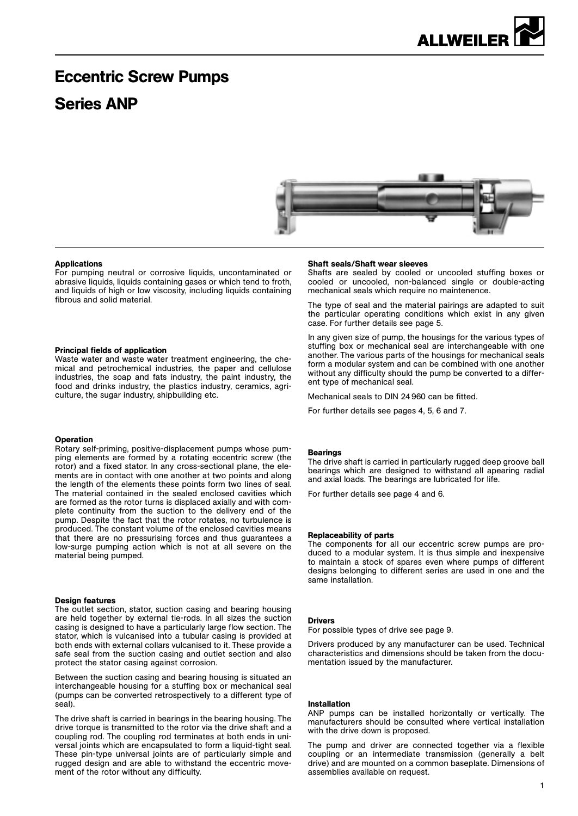# Eccentric Screw Pumps

## Series ANP



#### Applications

For pumping neutral or corrosive liquids, uncontaminated or abrasive liquids, liquids containing gases or which tend to froth, and liquids of high or low viscosity, including liquids containing fibrous and solid material.

#### Principal fields of application

Waste water and waste water treatment engineering, the chemical and petrochemical industries, the paper and cellulose industries, the soap and fats industry, the paint industry, the food and drinks industry, the plastics industry, ceramics, agriculture, the sugar industry, shipbuilding etc.

#### Operation

Rotary self-priming, positive-displacement pumps whose pumping elements are formed by a rotating eccentric screw (the rotor) and a fixed stator. In any cross-sectional plane, the elements are in contact with one another at two points and along the length of the elements these points form two lines of seal. The material contained in the sealed enclosed cavities which are formed as the rotor turns is displaced axially and with complete continuity from the suction to the delivery end of the pump. Despite the fact that the rotor rotates, no turbulence is produced. The constant volume of the enclosed cavities means that there are no pressurising forces and thus guarantees a low-surge pumping action which is not at all severe on the material being pumped.

#### Design features

The outlet section, stator, suction casing and bearing housing are held together by external tie-rods. In all sizes the suction casing is designed to have a particularly large flow section. The stator, which is vulcanised into a tubular casing is provided at both ends with external collars vulcanised to it. These provide a safe seal from the suction casing and outlet section and also protect the stator casing against corrosion.

Between the suction casing and bearing housing is situated an interchangeable housing for a stuffing box or mechanical seal (pumps can be converted retrospectively to a different type of seal).

The drive shaft is carried in bearings in the bearing housing. The drive torque is transmitted to the rotor via the drive shaft and a coupling rod. The coupling rod terminates at both ends in universal joints which are encapsulated to form a liquid-tight seal. These pin-type universal joints are of particularly simple and rugged design and are able to withstand the eccentric movement of the rotor without any difficulty.

#### Shaft seals/Shaft wear sleeves

Shafts are sealed by cooled or uncooled stuffing boxes or cooled or uncooled, non-balanced single or double-acting mechanical seals which require no maintenence.

The type of seal and the material pairings are adapted to suit the particular operating conditions which exist in any given case. For further details see page 5.

In any given size of pump, the housings for the various types of stuffing box or mechanical seal are interchangeable with one another. The various parts of the housings for mechanical seals form a modular system and can be combined with one another without any difficulty should the pump be converted to a different type of mechanical seal.

Mechanical seals to DIN 24 960 can be fitted.

For further details see pages 4, 5, 6 and 7.

#### **Bearings**

The drive shaft is carried in particularly rugged deep groove ball bearings which are designed to withstand all apearing radial and axial loads. The bearings are lubricated for life.

For further details see page 4 and 6.

#### Replaceability of parts

The components for all our eccentric screw pumps are produced to a modular system. It is thus simple and inexpensive to maintain a stock of spares even where pumps of different designs belonging to different series are used in one and the same installation.

#### Drivers

For possible types of drive see page 9.

Drivers produced by any manufacturer can be used. Technical characteristics and dimensions should be taken from the documentation issued by the manufacturer.

#### Installation

ANP pumps can be installed horizontally or vertically. The manufacturers should be consulted where vertical installation with the drive down is proposed.

The pump and driver are connected together via a flexible coupling or an intermediate transmission (generally a belt drive) and are mounted on a common baseplate. Dimensions of assemblies available on request.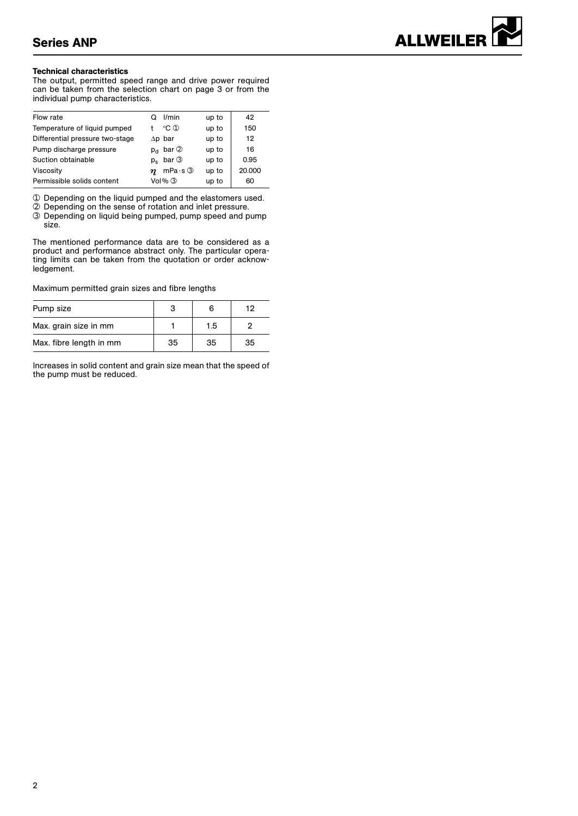#### Technical characteristics

The output, permitted speed range and drive power required can be taken from the selection chart on page 3 or from the individual pump characteristics.

| Flow rate                       | I/min                         | up to | 42     |
|---------------------------------|-------------------------------|-------|--------|
| Temperature of liquid pumped    | $^{\circ}$ C ①                | up to | 150    |
| Differential pressure two-stage | $\Delta p$ bar                | up to | 12     |
| Pump discharge pressure         | bar 2<br><b>D<sub>d</sub></b> | up to | 16     |
| Suction obtainable              | $p_e$ bar $\circledcirc$      | up to | 0.95   |
| Viscosity                       | $mPa·s$ 3<br>n                | up to | 20.000 |
| Permissible solids content      | $Vol\%$ $\circled{3}$         | up to | 60     |

➀ Depending on the liquid pumped and the elastomers used.

- ➁ Depending on the sense of rotation and inlet pressure.
- ➂ Depending on liquid being pumped, pump speed and pump size.

The mentioned performance data are to be considered as a product and performance abstract only. The particular operating limits can be taken from the quotation or order acknowledgement.

Maximum permitted grain sizes and fibre lengths

| Pump size               |    | 6   | 12 |
|-------------------------|----|-----|----|
| Max. grain size in mm   |    | 1.5 |    |
| Max. fibre length in mm | 35 | 35  | 35 |

Increases in solid content and grain size mean that the speed of the pump must be reduced.

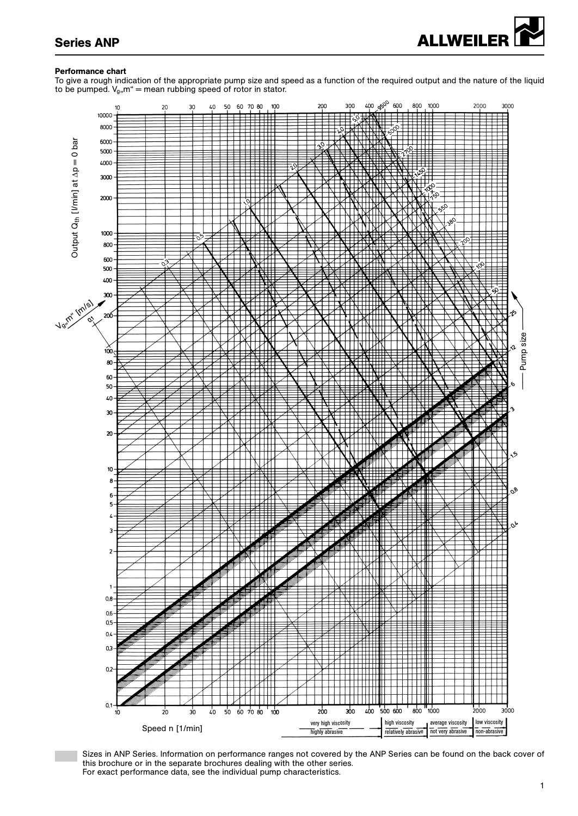

## Performance chart

To give a rough indication of the appropriate pump size and speed as a function of the required output and the nature of the liquid to be pumped.  $V_g$ , m" = mean rubbing speed of rotor in stator.



Sizes in ANP Series. Information on performance ranges not covered by the ANP Series can be found on the back cover of this brochure or in the separate brochures dealing with the other series. For exact performance data, see the individual pump characteristics.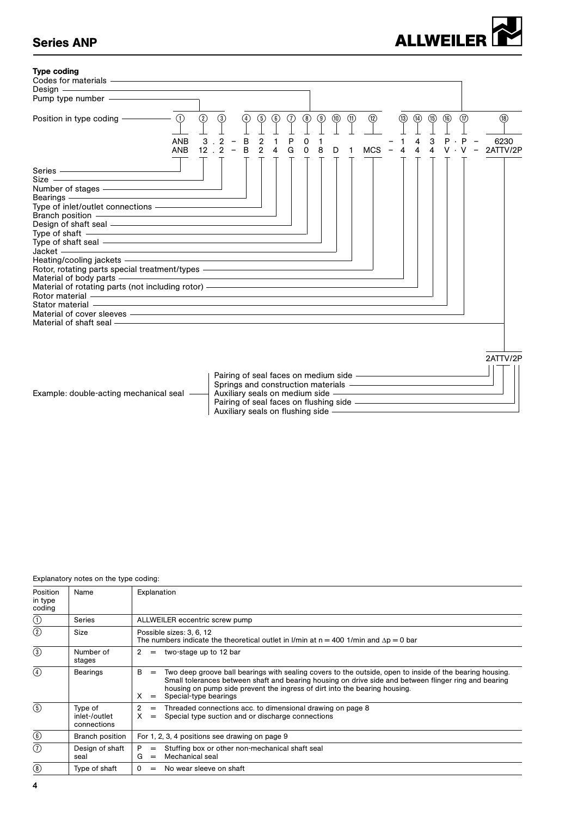# Series ANP<br>
ALLWEILER



#### Explanatory notes on the type coding:

| Position<br>in type<br>coding | Name                                    | Explanation                                                                                                                                                                                                                                                                                                                                      |
|-------------------------------|-----------------------------------------|--------------------------------------------------------------------------------------------------------------------------------------------------------------------------------------------------------------------------------------------------------------------------------------------------------------------------------------------------|
| $\odot$                       | Series                                  | ALLWEILER eccentric screw pump                                                                                                                                                                                                                                                                                                                   |
| $\circled{2}$                 | Size                                    | Possible sizes: 3, 6, 12<br>The numbers indicate the theoretical outlet in I/min at $n = 400$ 1/min and $\Delta p = 0$ bar                                                                                                                                                                                                                       |
| $\circled{3}$                 | Number of<br>stages                     | two-stage up to 12 bar<br>2<br>$=$                                                                                                                                                                                                                                                                                                               |
| $\left( \widehat{4}\right)$   | <b>Bearings</b>                         | B<br>Two deep groove ball bearings with sealing covers to the outside, open to inside of the bearing housing.<br>$=$<br>Small tolerances between shaft and bearing housing on drive side and between flinger ring and bearing<br>housing on pump side prevent the ingress of dirt into the bearing housing.<br>X<br>Special-type bearings<br>$=$ |
| $\circled{5}$                 | Type of<br>inlet-/outlet<br>connections | 2<br>Threaded connections acc. to dimensional drawing on page 8<br>$=$<br>$\times$<br>Special type suction and or discharge connections<br>$=$                                                                                                                                                                                                   |
| $\circledS$                   | Branch position                         | For 1, 2, 3, 4 positions see drawing on page 9                                                                                                                                                                                                                                                                                                   |
| (7)                           | Design of shaft<br>seal                 | P<br>Stuffing box or other non-mechanical shaft seal<br>$=$<br>Mechanical seal<br>G<br>$=$                                                                                                                                                                                                                                                       |
| $^{\circledR}$                | Type of shaft                           | No wear sleeve on shaft<br>$\Omega$<br>$\qquad \qquad =$                                                                                                                                                                                                                                                                                         |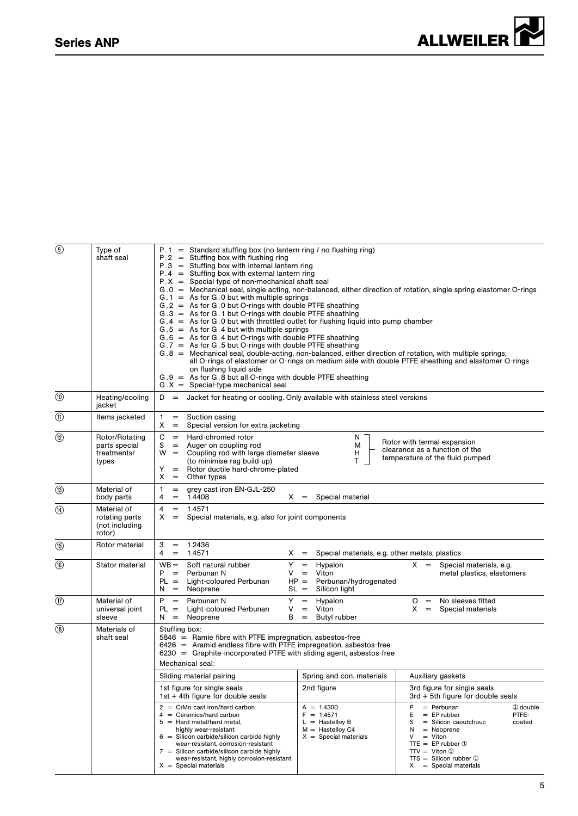

| Type of                                                   | $P.1 =$ Standard stuffing box (no lantern ring / no flushing ring)                                                                                                                                                                                                                                                                                                                                                                                |                                                                                                                                               |                                                                                                                                                                                                                                                                                                                                                                                                                                                                                                                                                                                                                                                                                                                                                                                                                                                                                                                                                                                                                                                                                                                                                                                                                                                                                                                                                                                                                                                                                                                                             |
|-----------------------------------------------------------|---------------------------------------------------------------------------------------------------------------------------------------------------------------------------------------------------------------------------------------------------------------------------------------------------------------------------------------------------------------------------------------------------------------------------------------------------|-----------------------------------------------------------------------------------------------------------------------------------------------|---------------------------------------------------------------------------------------------------------------------------------------------------------------------------------------------------------------------------------------------------------------------------------------------------------------------------------------------------------------------------------------------------------------------------------------------------------------------------------------------------------------------------------------------------------------------------------------------------------------------------------------------------------------------------------------------------------------------------------------------------------------------------------------------------------------------------------------------------------------------------------------------------------------------------------------------------------------------------------------------------------------------------------------------------------------------------------------------------------------------------------------------------------------------------------------------------------------------------------------------------------------------------------------------------------------------------------------------------------------------------------------------------------------------------------------------------------------------------------------------------------------------------------------------|
| shaft seal                                                | $P.2 =$ Stuffing box with flushing ring<br>on flushing liquid side<br>$G.X =$ Special-type mechanical seal                                                                                                                                                                                                                                                                                                                                        |                                                                                                                                               |                                                                                                                                                                                                                                                                                                                                                                                                                                                                                                                                                                                                                                                                                                                                                                                                                                                                                                                                                                                                                                                                                                                                                                                                                                                                                                                                                                                                                                                                                                                                             |
| Heating/cooling<br>jacket                                 | $D =$                                                                                                                                                                                                                                                                                                                                                                                                                                             |                                                                                                                                               |                                                                                                                                                                                                                                                                                                                                                                                                                                                                                                                                                                                                                                                                                                                                                                                                                                                                                                                                                                                                                                                                                                                                                                                                                                                                                                                                                                                                                                                                                                                                             |
| Items jacketed                                            | $\mathbf{1}$<br>Suction casing<br>$=$<br>X<br>$\, =$                                                                                                                                                                                                                                                                                                                                                                                              |                                                                                                                                               |                                                                                                                                                                                                                                                                                                                                                                                                                                                                                                                                                                                                                                                                                                                                                                                                                                                                                                                                                                                                                                                                                                                                                                                                                                                                                                                                                                                                                                                                                                                                             |
| Rotor/Rotating<br>parts special<br>treatments/<br>types   | С<br>$=$ Hard-chromed rotor<br>S<br>$\,=\,$<br>Auger on coupling rod<br>(to minimise rag build-up)<br>Y<br>x<br>Other types<br>$=$                                                                                                                                                                                                                                                                                                                | N.<br>м<br>н<br>T                                                                                                                             | Rotor with termal expansion<br>clearance as a function of the<br>temperature of the fluid pumped                                                                                                                                                                                                                                                                                                                                                                                                                                                                                                                                                                                                                                                                                                                                                                                                                                                                                                                                                                                                                                                                                                                                                                                                                                                                                                                                                                                                                                            |
| Material of<br>body parts                                 | grey cast iron EN-GJL-250<br>1<br>$=$<br>1.4408<br>4<br>$=$                                                                                                                                                                                                                                                                                                                                                                                       | Special material                                                                                                                              |                                                                                                                                                                                                                                                                                                                                                                                                                                                                                                                                                                                                                                                                                                                                                                                                                                                                                                                                                                                                                                                                                                                                                                                                                                                                                                                                                                                                                                                                                                                                             |
| Material of<br>rotating parts<br>(not including<br>rotor) | 1.4571<br>4<br>$=$<br>X<br>$=$                                                                                                                                                                                                                                                                                                                                                                                                                    |                                                                                                                                               |                                                                                                                                                                                                                                                                                                                                                                                                                                                                                                                                                                                                                                                                                                                                                                                                                                                                                                                                                                                                                                                                                                                                                                                                                                                                                                                                                                                                                                                                                                                                             |
| Rotor material                                            | 1.2436<br>3<br>$=$<br>4<br>1.4571<br>$=$                                                                                                                                                                                                                                                                                                                                                                                                          | Special materials, e.g. other metals, plastics                                                                                                |                                                                                                                                                                                                                                                                                                                                                                                                                                                                                                                                                                                                                                                                                                                                                                                                                                                                                                                                                                                                                                                                                                                                                                                                                                                                                                                                                                                                                                                                                                                                             |
| Stator material                                           | Y.<br>$WB =$<br>Soft natural rubber<br>$P =$<br>Perbunan N<br>V<br>$PL = Light-coloured Perbunan$<br>Neoprene<br>N<br>$=$                                                                                                                                                                                                                                                                                                                         | Hypalon<br>$=$<br>Viton<br>Perbunan/hydrogenated<br>Silicon light                                                                             | $X =$ Special materials, e.g.<br>metal plastics, elastomers                                                                                                                                                                                                                                                                                                                                                                                                                                                                                                                                                                                                                                                                                                                                                                                                                                                                                                                                                                                                                                                                                                                                                                                                                                                                                                                                                                                                                                                                                 |
| Material of<br>universal joint<br>sleeve                  | $P = Perbunan N$<br>Y.<br>Light-coloured Perbunan<br>$PL =$<br>V<br>$N =$ Neoprene<br>В                                                                                                                                                                                                                                                                                                                                                           | Hypalon<br>$=$<br>Viton<br>$\hspace*{0.4em} = \hspace*{0.4em}$<br>Butyl rubber<br>$=$                                                         | No sleeves fitted<br>$O =$<br>$X =$<br>Special materials                                                                                                                                                                                                                                                                                                                                                                                                                                                                                                                                                                                                                                                                                                                                                                                                                                                                                                                                                                                                                                                                                                                                                                                                                                                                                                                                                                                                                                                                                    |
| Materials of<br>shaft seal                                | Stuffing box:<br>Mechanical seal:<br>Sliding material pairing<br>1st figure for single seals<br>1st + 4th figure for double seals<br>$2 =$ CrMo cast iron/hard carbon<br>$4 =$ Ceramics/hard carbon<br>$5 =$ Hard metal/hard metal,<br>highly wear-resistant<br>$6 =$ Silicon carbide/silicon carbide highly<br>wear-resistant, corrosion-resistant<br>$7 =$ Silicon carbide/silicon carbide highly<br>wear-resistant, highly corrosion-resistant | Spring and con. materials<br>2nd figure<br>$A = 1.4300$<br>$F = 1.4571$<br>$L =$ Hastelloy B<br>$M =$ Hastelloy C4<br>$X =$ Special materials | Auxiliary gaskets<br>3rd figure for single seals<br>3rd + 5th figure for double seals<br>$=$ Perbunan<br>P<br>$①$ double<br>Е<br>$=$ EP rubber<br>PTFE-<br>s<br>$=$ Silicon caoutchouc<br>coated<br>$=$ Neoprene<br>N<br>$=$ Viton<br>V<br>TTE = EP rubber $\Phi$<br>$TTV = Viton$ ①<br>$TTS = Silicon rubber \circled{1}$                                                                                                                                                                                                                                                                                                                                                                                                                                                                                                                                                                                                                                                                                                                                                                                                                                                                                                                                                                                                                                                                                                                                                                                                                  |
|                                                           |                                                                                                                                                                                                                                                                                                                                                                                                                                                   |                                                                                                                                               | $P.3 =$ Stuffing box with internal lantern ring<br>$P.4 =$ Stuffing box with external lantern ring<br>$P.X =$ Special type of non-mechanical shaft seal<br>$G.0$ = Mechanical seal, single acting, non-balanced, either direction of rotation, single spring elastomer O-rings<br>$G.1 = As$ for G.0 but with multiple springs<br>$G.2$ = As for G.0 but O-rings with double PTFE sheathing<br>$G.3 = As$ for $G.1$ but O-rings with double PTFE sheathing<br>$G.4 = As$ for G.0 but with throttled outlet for flushing liquid into pump chamber<br>$G.5 = As$ for G.4 but with multiple springs<br>$G.6 = As$ for G.4 but O-rings with double PTFE sheathing<br>$G.7$ = As for G.5 but O-rings with double PTFE sheathing<br>$G.8$ = Mechanical seal, double-acting, non-balanced, either direction of rotation, with multiple springs,<br>all O-rings of elastomer or O-rings on medium side with double PTFE sheathing and elastomer O-rings<br>$G.9$ = As for G.8 but all O-rings with double PTFE sheathing<br>Jacket for heating or cooling. Only available with stainless steel versions<br>Special version for extra jacketing<br>$W =$ Coupling rod with large diameter sleeve<br>= Rotor ductile hard-chrome-plated<br>$X =$<br>Special materials, e.g. also for joint components<br>$X =$<br>$=$<br>$HP =$<br>$SL =$<br>5846 = Ramie fibre with PTFE impregnation, asbestos-free<br>$6426$ = Aramid endless fibre with PTFE impregnation, asbestos-free<br>$6230 =$ Graphite-incorporated PTFE with sliding agent, asbestos-free |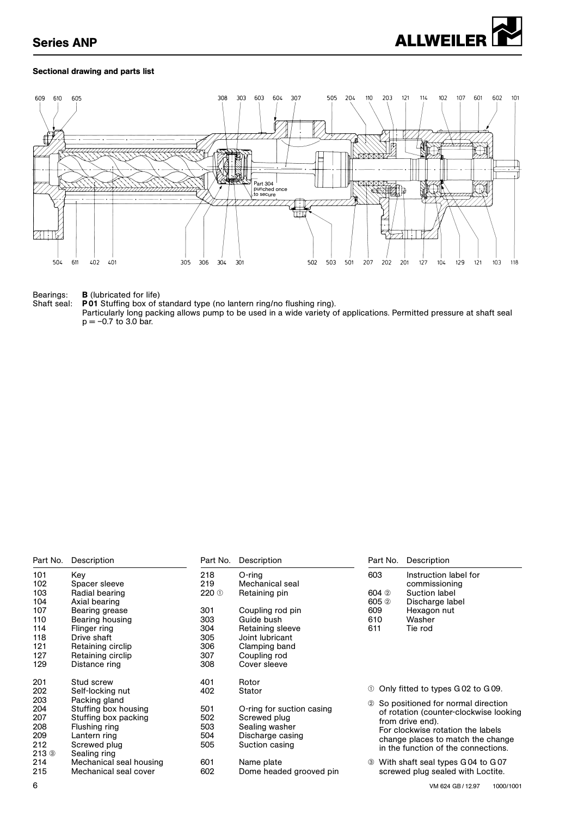

## Sectional drawing and parts list



#### Bearings: **B** (lubricated for life)

Shaft seal: P01 Stuffing box of standard type (no lantern ring/no flushing ring).

Particularly long packing allows pump to be used in a wide variety of applications. Permitted pressure at shaft seal  $p = -0.7$  to 3.0 bar.

| Part No.             | Description             | Part No.         | Description               | Part No.         | Description                            |
|----------------------|-------------------------|------------------|---------------------------|------------------|----------------------------------------|
| 101                  | Key                     | 218              | $O$ -ring                 | 603              | Instruction label for                  |
| 102                  | Spacer sleeve           | 219              | Mechanical seal           |                  | commissioning                          |
| 103                  | Radial bearing          | 220 <sup>O</sup> | Retaining pin             | 604 2            | Suction label                          |
| 104                  | Axial bearing           |                  |                           | 605 <sup>2</sup> | Discharge label                        |
| 107                  | Bearing grease          | 301              | Coupling rod pin          | 609              | Hexagon nut                            |
| 110                  | Bearing housing         | 303              | Guide bush                | 610              | Washer                                 |
| 114                  | Flinger ring            | 304              | Retaining sleeve          | 611              | Tie rod                                |
| 118                  | Drive shaft             | 305              | Joint lubricant           |                  |                                        |
| 121                  | Retaining circlip       | 306              | Clamping band             |                  |                                        |
| 127                  | Retaining circlip       | 307              | Coupling rod              |                  |                                        |
| 129                  | Distance ring           | 308              | Cover sleeve              |                  |                                        |
| 201                  | Stud screw              | 401              | Rotor                     |                  |                                        |
| 202                  | Self-locking nut        | 402              | Stator                    | (1)              | Only fitted to types GO2 to GO9.       |
| 203                  | Packing gland           |                  |                           |                  | 2 So positioned for normal direction   |
| 204                  | Stuffing box housing    | 501              | O-ring for suction casing |                  | of rotation (counter-clockwise looking |
| 207                  | Stuffing box packing    | 502              | Screwed plug              |                  | from drive end).                       |
| 208                  | Flushing ring           | 503              | Sealing washer            |                  | For clockwise rotation the labels      |
| 209                  | Lantern ring            | 504              | Discharge casing          |                  | change places to match the change      |
| 212                  | Screwed plug            | 505              | Suction casing            |                  | in the function of the connections.    |
| $213$ $\circledcirc$ | Sealing ring            |                  |                           |                  |                                        |
| 214                  | Mechanical seal housing | 601              | Name plate                |                  | With shaft seal types G 04 to G 07     |
| 215                  | Mechanical seal cover   | 602              | Dome headed grooved pin   |                  | screwed plug sealed with Loctite.      |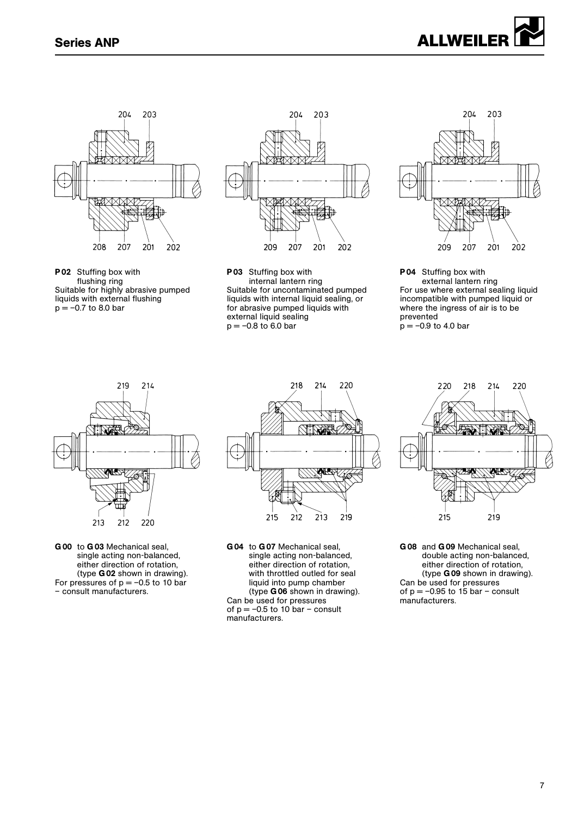

P02 Stuffing box with flushing ring Suitable for highly abrasive pumped liquids with external flushing  $p = -0.7$  to 8.0 bar



P03 Stuffing box with internal lantern ring Suitable for uncontaminated pumped liquids with internal liquid sealing, or for abrasive pumped liquids with external liquid sealing  $p = -0.8$  to 6.0 bar



P04 Stuffing box with external lantern ring For use where external sealing liquid incompatible with pumped liquid or where the ingress of air is to be prevented  $p = -0.9$  to 4.0 bar



G 00 to G 03 Mechanical seal, single acting non-balanced, either direction of rotation, (type G 02 shown in drawing). For pressures of  $p = -0.5$  to 10 bar – consult manufacturers.



G 04 to G 07 Mechanical seal, single acting non-balanced, either direction of rotation, with throttled outled for seal liquid into pump chamber (type G 06 shown in drawing). Can be used for pressures of  $p = -0.5$  to 10 bar – consult manufacturers.



G 08 and G 09 Mechanical seal, double acting non-balanced, either direction of rotation, (type G 09 shown in drawing). Can be used for pressures of  $p = -0.95$  to 15 bar – consult manufacturers.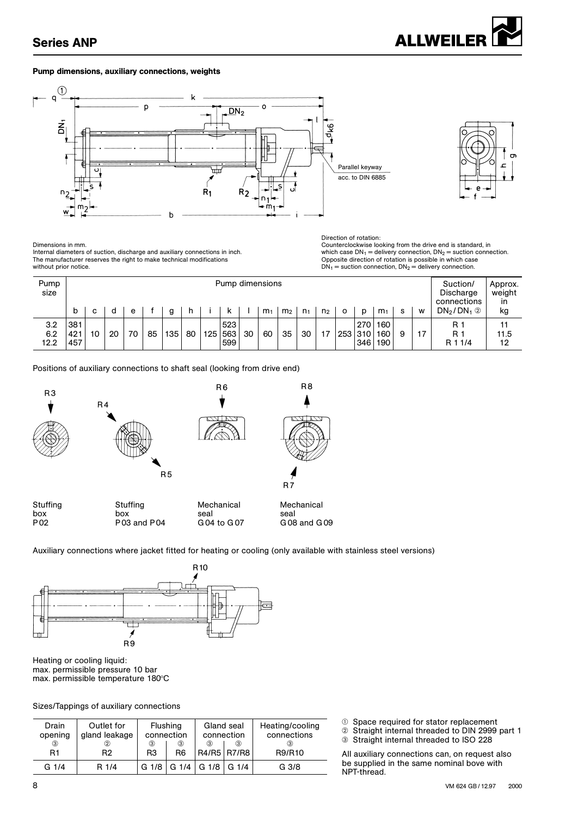

## Pump dimensions, auxiliary connections, weights





Internal diameters of suction, discharge and auxiliary connections in inch. The manufacturer reserves the right to make technical modifications without prior notice.

Direction of rotation: Dimensions in mm.<br>Internal diameters of suction, discharge and auxiliary connections in inch.<br>The manufacturer reserves the right to make technical modifications and the standard of proposite direction of rotation is poss  $DN_1$  = suction connection,  $DN_2$  = delivery connection.

| Pump<br>size       |                   | Pump dimensions |    |    |    |     |    |     |                   |    |                |                | Suction/<br>Discharge<br>connections | Approx.<br>weight<br>in |         |                       |                   |    |    |                       |                  |
|--------------------|-------------------|-----------------|----|----|----|-----|----|-----|-------------------|----|----------------|----------------|--------------------------------------|-------------------------|---------|-----------------------|-------------------|----|----|-----------------------|------------------|
|                    | b                 | C               | d  | e  |    | g   | n  |     | к                 |    | m <sub>1</sub> | m <sub>2</sub> | n <sub>1</sub>                       | n <sub>2</sub>          | $\circ$ | D                     | m <sub>1</sub>    | -S | W  | $DN_2/DN_1$ 2         | kg               |
| 3.2<br>6.2<br>12.2 | 381<br>421<br>457 | 10 <sup>°</sup> | 20 | 70 | 85 | 135 | 80 | 125 | 523<br>563<br>599 | 30 | 60             | 35             | 30                                   | 17                      |         | 270<br>253 310<br>346 | 160<br>160<br>190 | 9  | 17 | R 1<br>R 1<br>R 1 1/4 | 11<br>11.5<br>12 |

Positions of auxiliary connections to shaft seal (looking from drive end)



Auxiliary connections where jacket fitted for heating or cooling (only available with stainless steel versions)



Heating or cooling liquid: max. permissible pressure 10 bar max. permissible temperature 180°C

Sizes/Tappings of auxiliary connections

| Drain<br>opening | Outlet for<br>gland leakage | Flushing            | connection          | Heating/cooling<br>connections |               |               |
|------------------|-----------------------------|---------------------|---------------------|--------------------------------|---------------|---------------|
| ☺<br>R1          | ②<br>R2                     | ③<br>R <sub>3</sub> | ③<br>R <sub>6</sub> | ③<br>R4/R5 R7/R8               | $\circled{3}$ | (3)<br>R9/R10 |
| G1/4             | R 1/4                       | G <sub>1/8</sub>    |                     | G 1/4   G 1/8   G 1/4          |               | G 3/8         |

 $<sup>①</sup>$  Space required for stator replacement</sup>

Œ Straight internal threaded to DIN 2999 part 1

**Straight internal threaded to ISO 228** 

All auxiliary connections can, on request also be supplied in the same nominal bove with NPT-thread.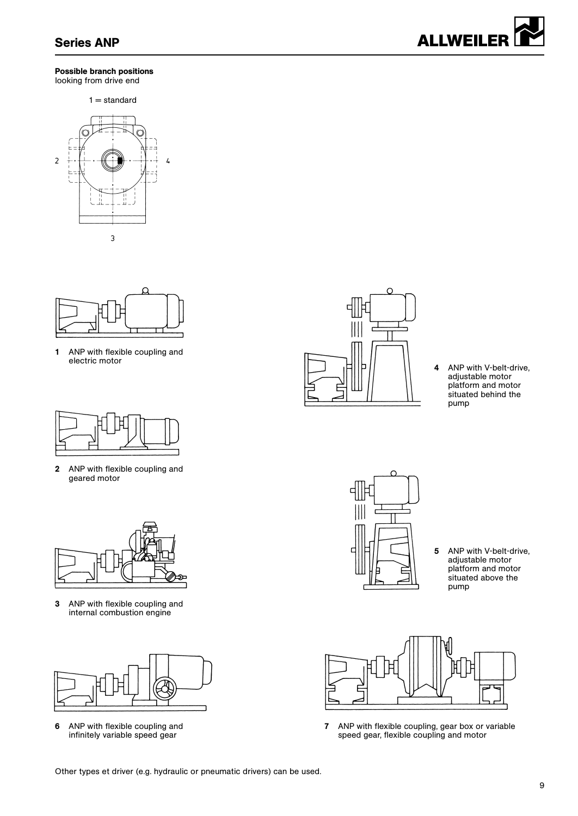

#### Possible branch positions looking from drive end

 $1 =$  standard





1 ANP with flexible coupling and electric motor



2 ANP with flexible coupling and geared motor



3 ANP with flexible coupling and internal combustion engine



6 ANP with flexible coupling and infinitely variable speed gear



4 ANP with V-belt-drive, adjustable motor platform and motor situated behind the pump



5 ANP with V-belt-drive, adjustable motor platform and motor situated above the pump



7 ANP with flexible coupling, gear box or variable speed gear, flexible coupling and motor